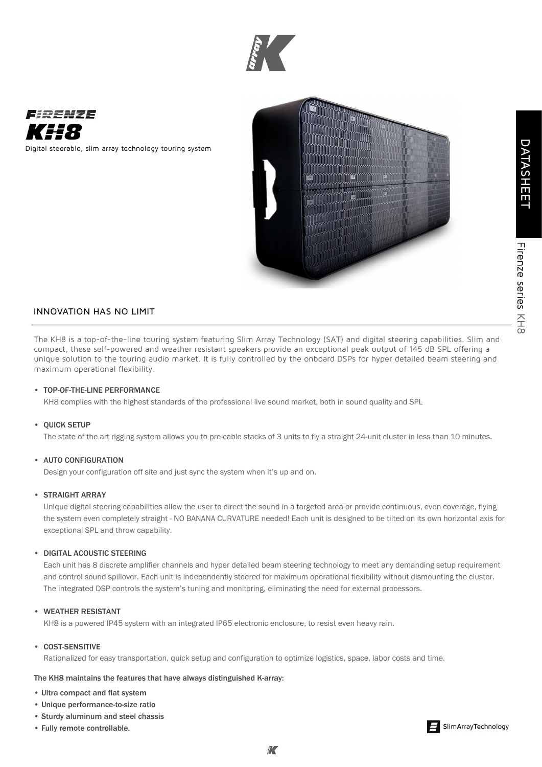



Digital steerable, slim array technology touring system



# INNOVATION HAS NO LIMIT

The KH8 is a top-of-the-line touring system featuring Slim Array Technology (SAT) and digital steering capabilities. Slim and compact, these self-powered and weather resistant speakers provide an exceptional peak output of 145 dB SPL offering a unique solution to the touring audio market. It is fully controlled by the onboard DSPs for hyper detailed beam steering and maximum operational flexibility.

# • TOP-OF-THE-LINE PERFORMANCE

KH8 complies with the highest standards of the professional live sound market, both in sound quality and SPL

#### • QUICK SETUP

The state of the art rigging system allows you to pre-cable stacks of 3 units to fly a straight 24-unit cluster in less than 10 minutes.

# • AUTO CONFIGURATION

Design your configuration off site and just sync the system when it's up and on.

#### • STRAIGHT ARRAY

Unique digital steering capabilities allow the user to direct the sound in a targeted area or provide continuous, even coverage, flying the system even completely straight - NO BANANA CURVATURE needed! Each unit is designed to be tilted on its own horizontal axis for exceptional SPL and throw capability.

# • DIGITAL ACOUSTIC STEERING

Each unit has 8 discrete amplifier channels and hyper detailed beam steering technology to meet any demanding setup requirement and control sound spillover. Each unit is independently steered for maximum operational flexibility without dismounting the cluster. The integrated DSP controls the system's tuning and monitoring, eliminating the need for external processors.

# • WEATHER RESISTANT

KH8 is a powered IP45 system with an integrated IP65 electronic enclosure, to resist even heavy rain.

## • COST-SENSITIVE

Rationalized for easy transportation, quick setup and configuration to optimize logistics, space, labor costs and time.

### The KH8 maintains the features that have always distinguished K-array:

- Ultra compact and flat system
- Unique performance-to-size ratio
- Sturdy aluminum and steel chassis
- Fully remote controllable.



Firenze series

Firenze series KH8